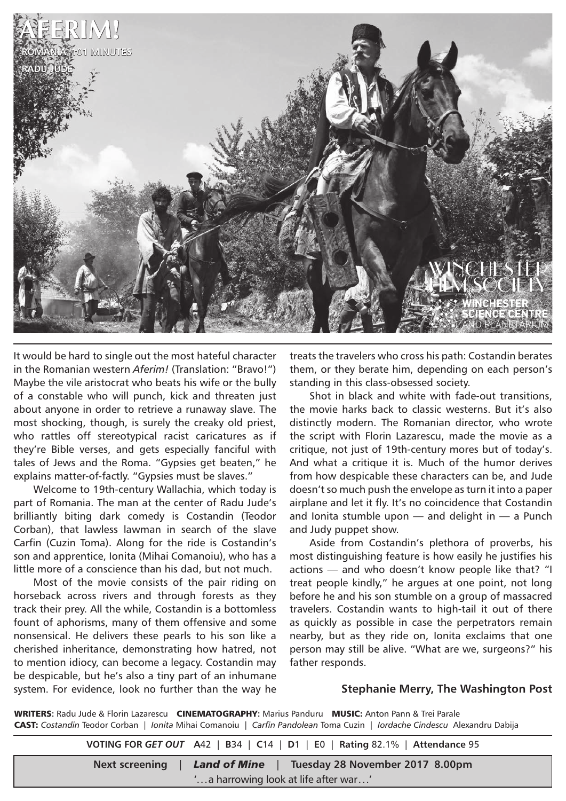

It would be hard to single out the most hateful character in the Romanian western *Aferim!* (Translation: "Bravo!") Maybe the vile aristocrat who beats his wife or the bully of a constable who will punch, kick and threaten just about anyone in order to retrieve a runaway slave. The most shocking, though, is surely the creaky old priest, who rattles off stereotypical racist caricatures as if they're Bible verses, and gets especially fanciful with tales of Jews and the Roma. "Gypsies get beaten," he explains matter-of-factly. "Gypsies must be slaves."

Welcome to 19th-century Wallachia, which today is part of Romania. The man at the center of Radu Jude's brilliantly biting dark comedy is Costandin (Teodor Corban), that lawless lawman in search of the slave Carfin (Cuzin Toma). Along for the ride is Costandin's son and apprentice, Ionita (Mihai Comanoiu), who has a little more of a conscience than his dad, but not much.

Most of the movie consists of the pair riding on horseback across rivers and through forests as they track their prey. All the while, Costandin is a bottomless fount of aphorisms, many of them offensive and some nonsensical. He delivers these pearls to his son like a cherished inheritance, demonstrating how hatred, not to mention idiocy, can become a legacy. Costandin may be despicable, but he's also a tiny part of an inhumane system. For evidence, look no further than the way he

treats the travelers who cross his path: Costandin berates them, or they berate him, depending on each person's standing in this class-obsessed society.

Shot in black and white with fade-out transitions, the movie harks back to classic westerns. But it's also distinctly modern. The Romanian director, who wrote the script with Florin Lazarescu, made the movie as a critique, not just of 19th-century mores but of today's. And what a critique it is. Much of the humor derives from how despicable these characters can be, and Jude doesn't so much push the envelope as turn it into a paper airplane and let it fly. It's no coincidence that Costandin and Ionita stumble upon  $-$  and delight in  $-$  a Punch and Judy puppet show.

Aside from Costandin's plethora of proverbs, his most distinguishing feature is how easily he justifies his actions — and who doesn't know people like that? "I treat people kindly," he argues at one point, not long before he and his son stumble on a group of massacred travelers. Costandin wants to high-tail it out of there as quickly as possible in case the perpetrators remain nearby, but as they ride on, Ionita exclaims that one person may still be alive. "What are we, surgeons?" his father responds.

## **Stephanie Merry, The Washington Post**

WRITERS**:** Radu Jude & Florin Lazarescu CINEMATOGRAPHY**:** Marius Panduru MUSIC: Anton Pann & Trei Parale CAST: *Costandin* Teodor Corban | *Ionita* Mihai Comanoiu | *Carfin Pandolean* Toma Cuzin | *Iordache Cindescu* Alexandru Dabija

**VOTING FOR** *GET OUT* **A**42 | **B**34 | **C**14 | **D**1 | **E**0 | **Rating** 82.1% | **Attendance** 95 **Next screening** | *Land of Mine* | **Tuesday 28 November 2017 8.00pm** '...a harrowing look at life after war...'